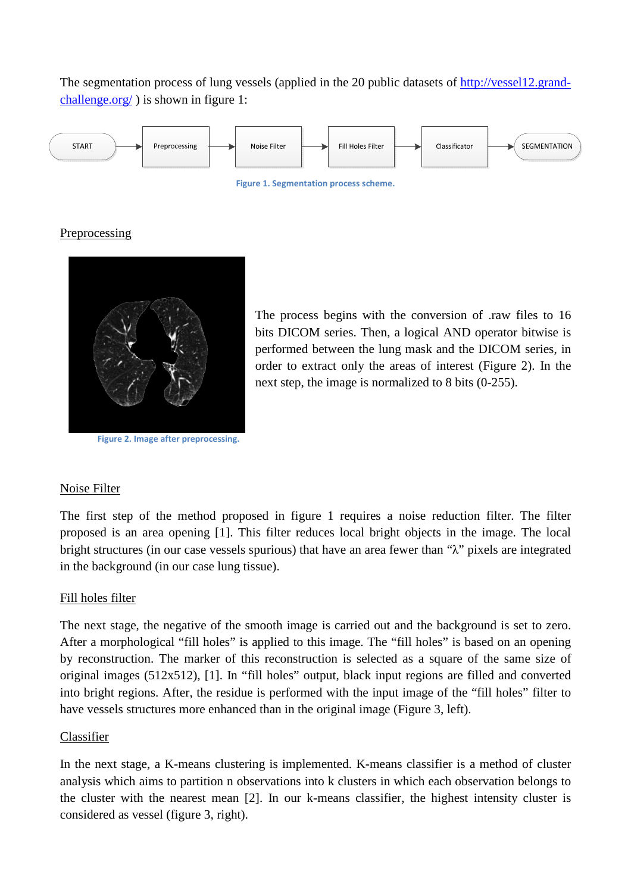The segmentation process of lung vessels (applied in the 20 public datasets of http://vessel12.grandchallenge.org/ ) is shown in figure 1:



**Figure 1. Segmentation process scheme.** 

## Preprocessing



**Figure 2. Image after preprocessing.** 

The process begins with the conversion of .raw files to 16 bits DICOM series. Then, a logical AND operator bitwise is performed between the lung mask and the DICOM series, in order to extract only the areas of interest (Figure 2). In the next step, the image is normalized to 8 bits (0-255).

## Noise Filter

The first step of the method proposed in figure 1 requires a noise reduction filter. The filter proposed is an area opening [1]. This filter reduces local bright objects in the image. The local bright structures (in our case vessels spurious) that have an area fewer than "λ" pixels are integrated in the background (in our case lung tissue).

## Fill holes filter

The next stage, the negative of the smooth image is carried out and the background is set to zero. After a morphological "fill holes" is applied to this image. The "fill holes" is based on an opening by reconstruction. The marker of this reconstruction is selected as a square of the same size of original images (512x512), [1]. In "fill holes" output, black input regions are filled and converted into bright regions. After, the residue is performed with the input image of the "fill holes" filter to have vessels structures more enhanced than in the original image (Figure 3, left).

## Classifier

In the next stage, a K-means clustering is implemented. K-means classifier is a method of cluster analysis which aims to partition n observations into k clusters in which each observation belongs to the cluster with the nearest mean [2]. In our k-means classifier, the highest intensity cluster is considered as vessel (figure 3, right).